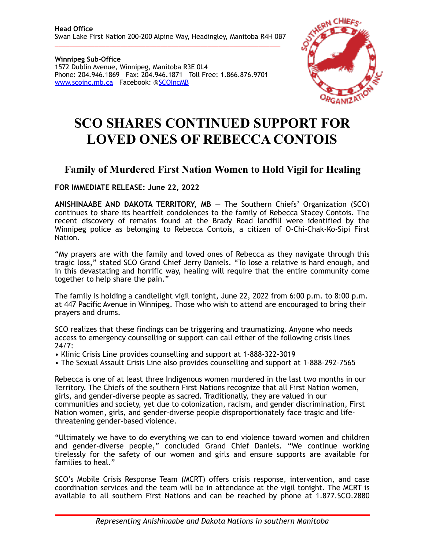**Winnipeg Sub-Office**  1572 Dublin Avenue, Winnipeg, Manitoba R3E 0L4 Phone: 204.946.1869 Fax: 204.946.1871 Toll Free: 1.866.876.9701 [www.scoinc.mb.ca](http://www.scoinc.mb.ca) Facebook: @[SCOIncMB](https://www.facebook.com/SCOIncMB/)



## **SCO SHARES CONTINUED SUPPORT FOR LOVED ONES OF REBECCA CONTOIS**

## **Family of Murdered First Nation Women to Hold Vigil for Healing**

**FOR IMMEDIATE RELEASE: June 22, 2022** 

**ANISHINAABE AND DAKOTA TERRITORY, MB** — The Southern Chiefs' Organization (SCO) continues to share its heartfelt condolences to the family of Rebecca Stacey Contois. The recent discovery of remains found at the Brady Road landfill were identified by the Winnipeg police as belonging to Rebecca Contois, a citizen of O-Chi-Chak-Ko-Sipi First Nation.

"My prayers are with the family and loved ones of Rebecca as they navigate through this tragic loss," stated SCO Grand Chief Jerry Daniels. "To lose a relative is hard enough, and in this devastating and horrific way, healing will require that the entire community come together to help share the pain."

The family is holding a candlelight vigil tonight, June 22, 2022 from 6:00 p.m. to 8:00 p.m. at 447 Pacific Avenue in Winnipeg. Those who wish to attend are encouraged to bring their prayers and drums.

SCO realizes that these findings can be triggering and traumatizing. Anyone who needs access to emergency counselling or support can call either of the following crisis lines 24/7:

• Klinic Crisis Line provides counselling and support at 1-888-322-3019

• The Sexual Assault Crisis Line also provides counselling and support at 1-888-292-7565

Rebecca is one of at least three Indigenous women murdered in the last two months in our Territory. The Chiefs of the southern First Nations recognize that all First Nation women, girls, and gender-diverse people as sacred. Traditionally, they are valued in our communities and society, yet due to colonization, racism, and gender discrimination, First Nation women, girls, and gender-diverse people disproportionately face tragic and lifethreatening gender-based violence.

"Ultimately we have to do everything we can to end violence toward women and children and gender-diverse people," concluded Grand Chief Daniels. "We continue working tirelessly for the safety of our women and girls and ensure supports are available for families to heal."

SCO's Mobile Crisis Response Team (MCRT) offers crisis response, intervention, and case coordination services and the team will be in attendance at the vigil tonight. The MCRT is available to all southern First Nations and can be reached by phone at 1.877.SCO.2880